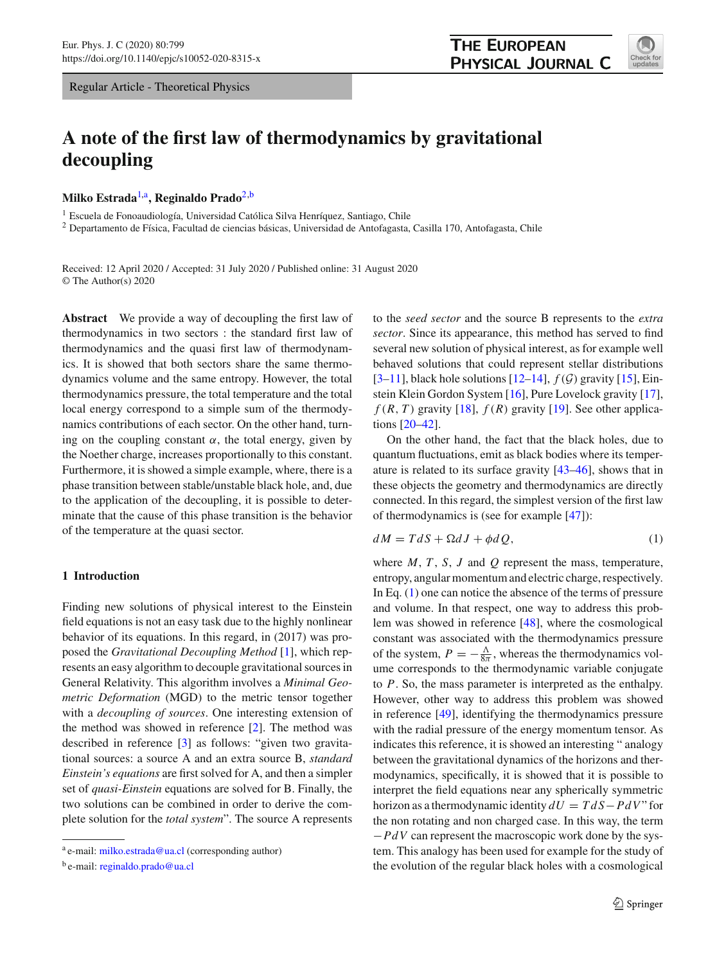Regular Article - Theoretical Physics

# **A note of the first law of thermodynamics by gravitational decoupling**

**Milko Estrada**[1,](#page-0-0)a**, Reginaldo Prado**[2,](#page-0-0)b

<sup>1</sup> Escuela de Fonoaudiología, Universidad Católica Silva Henríquez, Santiago, Chile

<sup>2</sup> Departamento de Física, Facultad de ciencias básicas, Universidad de Antofagasta, Casilla 170, Antofagasta, Chile

Received: 12 April 2020 / Accepted: 31 July 2020 / Published online: 31 August 2020 © The Author(s) 2020

**Abstract** We provide a way of decoupling the first law of thermodynamics in two sectors : the standard first law of thermodynamics and the quasi first law of thermodynamics. It is showed that both sectors share the same thermodynamics volume and the same entropy. However, the total thermodynamics pressure, the total temperature and the total local energy correspond to a simple sum of the thermodynamics contributions of each sector. On the other hand, turning on the coupling constant  $\alpha$ , the total energy, given by the Noether charge, increases proportionally to this constant. Furthermore, it is showed a simple example, where, there is a phase transition between stable/unstable black hole, and, due to the application of the decoupling, it is possible to determinate that the cause of this phase transition is the behavior of the temperature at the quasi sector.

# **1 Introduction**

Finding new solutions of physical interest to the Einstein field equations is not an easy task due to the highly nonlinear behavior of its equations. In this regard, in (2017) was proposed the *Gravitational Decoupling Method* [\[1](#page-6-0)], which represents an easy algorithm to decouple gravitational sources in General Relativity. This algorithm involves a *Minimal Geometric Deformation* (MGD) to the metric tensor together with a *decoupling of sources*. One interesting extension of the method was showed in reference [\[2](#page-6-1)]. The method was described in reference [\[3\]](#page-6-2) as follows: "given two gravitational sources: a source A and an extra source B, *standard Einstein's equations* are first solved for A, and then a simpler set of *quasi-Einstein* equations are solved for B. Finally, the two solutions can be combined in order to derive the complete solution for the *total system*". The source A represents

<span id="page-0-0"></span>to the *seed sector* and the source B represents to the *extra sector*. Since its appearance, this method has served to find several new solution of physical interest, as for example well behaved solutions that could represent stellar distributions [\[3](#page-6-2)[–11](#page-6-3)], black hole solutions [\[12](#page-6-4)[–14\]](#page-6-5), *f* (*G*) gravity [\[15](#page-6-6)], Einstein Klein Gordon System [\[16\]](#page-6-7), Pure Lovelock gravity [\[17](#page-6-8)],  $f(R, T)$  gravity [\[18\]](#page-6-9),  $f(R)$  gravity [\[19\]](#page-6-10). See other applications [\[20](#page-6-11)[–42](#page-7-0)].

On the other hand, the fact that the black holes, due to quantum fluctuations, emit as black bodies where its temperature is related to its surface gravity [\[43](#page-7-1)[–46](#page-7-2)], shows that in these objects the geometry and thermodynamics are directly connected. In this regard, the simplest version of the first law of thermodynamics is (see for example [\[47\]](#page-7-3)):

<span id="page-0-1"></span>
$$
dM = TdS + \Omega dJ + \phi dQ, \qquad (1)
$$

where  $M$ ,  $T$ ,  $S$ ,  $J$  and  $Q$  represent the mass, temperature, entropy, angular momentum and electric charge, respectively. In Eq. [\(1\)](#page-0-1) one can notice the absence of the terms of pressure and volume. In that respect, one way to address this problem was showed in reference [\[48\]](#page-7-4), where the cosmological constant was associated with the thermodynamics pressure of the system,  $P = -\frac{\Lambda}{8\pi}$ , whereas the thermodynamics volume corresponds to the thermodynamic variable conjugate to *P*. So, the mass parameter is interpreted as the enthalpy. However, other way to address this problem was showed in reference [\[49](#page-7-5)], identifying the thermodynamics pressure with the radial pressure of the energy momentum tensor. As indicates this reference, it is showed an interesting " analogy between the gravitational dynamics of the horizons and thermodynamics, specifically, it is showed that it is possible to interpret the field equations near any spherically symmetric horizon as a thermodynamic identity  $dU = T dS - P dV$  " for the non rotating and non charged case. In this way, the term −*PdV* can represent the macroscopic work done by the system. This analogy has been used for example for the study of the evolution of the regular black holes with a cosmological



a e-mail: [milko.estrada@ua.cl](mailto:milko.estrada@ua.cl) (corresponding author)

<sup>b</sup> e-mail: [reginaldo.prado@ua.cl](mailto:reginaldo.prado@ua.cl)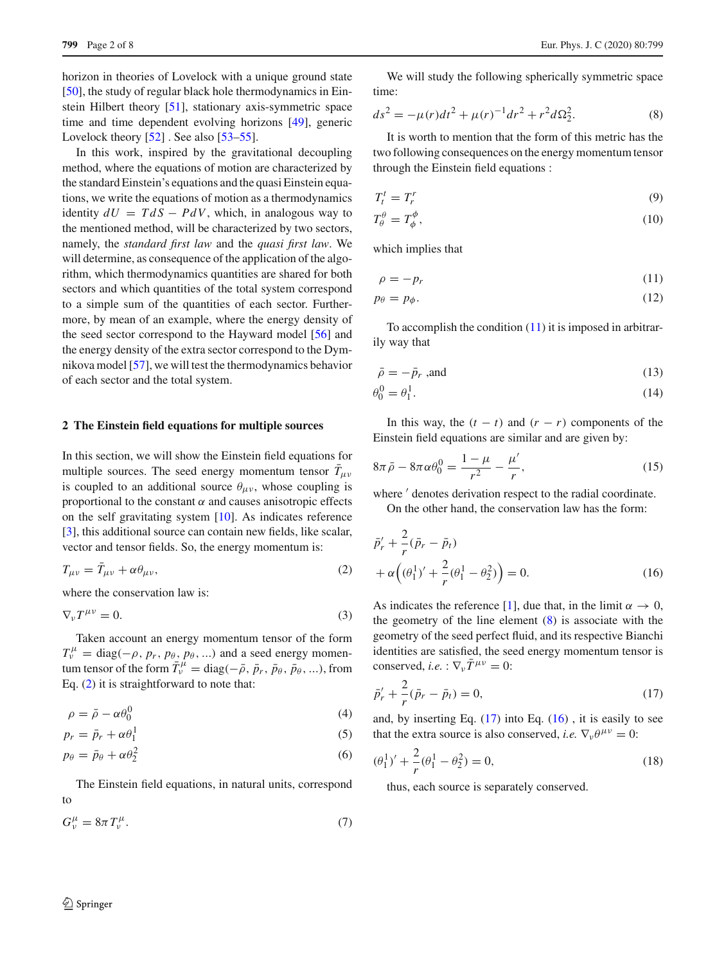horizon in theories of Lovelock with a unique ground state [\[50](#page-7-6)], the study of regular black hole thermodynamics in Einstein Hilbert theory [\[51\]](#page-7-7), stationary axis-symmetric space time and time dependent evolving horizons [\[49\]](#page-7-5), generic Lovelock theory [\[52](#page-7-8)]. See also [\[53](#page-7-9)[–55\]](#page-7-10).

In this work, inspired by the gravitational decoupling method, where the equations of motion are characterized by the standard Einstein's equations and the quasi Einstein equations, we write the equations of motion as a thermodynamics identity  $dU = T dS - P dV$ , which, in analogous way to the mentioned method, will be characterized by two sectors, namely, the *standard first law* and the *quasi first law*. We will determine, as consequence of the application of the algorithm, which thermodynamics quantities are shared for both sectors and which quantities of the total system correspond to a simple sum of the quantities of each sector. Furthermore, by mean of an example, where the energy density of the seed sector correspond to the Hayward model [\[56](#page-7-11)] and the energy density of the extra sector correspond to the Dymnikova model [\[57](#page-7-12)], we will test the thermodynamics behavior of each sector and the total system.

# **2 The Einstein field equations for multiple sources**

In this section, we will show the Einstein field equations for multiple sources. The seed energy momentum tensor  $T_{\mu\nu}$ is coupled to an additional source  $\theta_{\mu\nu}$ , whose coupling is proportional to the constant  $\alpha$  and causes anisotropic effects on the self gravitating system [\[10](#page-6-12)]. As indicates reference [\[3](#page-6-2)], this additional source can contain new fields, like scalar, vector and tensor fields. So, the energy momentum is:

<span id="page-1-0"></span>
$$
T_{\mu\nu} = \bar{T}_{\mu\nu} + \alpha \theta_{\mu\nu},\tag{2}
$$

where the conservation law is:

$$
\nabla_{\nu}T^{\mu\nu}=0.\tag{3}
$$

Taken account an energy momentum tensor of the form  $T_v^{\mu}$  = diag( $-\rho$ , *p<sub>r</sub>*, *p*<sub>θ</sub>, *p*<sub>θ</sub>, ...) and a seed energy momentum tensor of the form  $\bar{T}_{\nu}^{\mu} = \text{diag}(-\bar{\rho}, \bar{p}_r, \bar{p}_\theta, \bar{p}_\theta, \ldots)$ , from Eq. [\(2\)](#page-1-0) it is straightforward to note that:

$$
\rho = \bar{\rho} - \alpha \theta_0^0 \tag{4}
$$

$$
p_r = \bar{p}_r + \alpha \theta_1^1 \tag{5}
$$

$$
p_{\theta} = \bar{p}_{\theta} + \alpha \theta_2^2 \tag{6}
$$

The Einstein field equations, in natural units, correspond to

<span id="page-1-5"></span>
$$
G^{\mu}_{\nu} = 8\pi T^{\mu}_{\nu}.
$$
\n<sup>(7)</sup>

We will study the following spherically symmetric space time:

<span id="page-1-2"></span>
$$
ds^{2} = -\mu(r)dt^{2} + \mu(r)^{-1}dr^{2} + r^{2}d\Omega_{2}^{2}.
$$
 (8)

It is worth to mention that the form of this metric has the two following consequences on the energy momentum tensor through the Einstein field equations :

$$
T_t^t = T_r^r \tag{9}
$$

$$
T^{\theta}_{\theta} = T^{\phi}_{\phi},\tag{10}
$$

which implies that

<span id="page-1-7"></span><span id="page-1-1"></span>
$$
\rho = -p_r \tag{11}
$$

$$
p_{\theta} = p_{\phi}.\tag{12}
$$

To accomplish the condition [\(11\)](#page-1-1) it is imposed in arbitrarily way that

<span id="page-1-9"></span><span id="page-1-8"></span>
$$
\bar{\rho} = -\bar{p}_r \text{ ,and} \tag{13}
$$

$$
\theta_0^0 = \theta_1^1. \tag{14}
$$

In this way, the  $(t - t)$  and  $(r - r)$  components of the Einstein field equations are similar and are given by:

<span id="page-1-6"></span>
$$
8\pi \bar{\rho} - 8\pi \alpha \theta_0^0 = \frac{1 - \mu}{r^2} - \frac{\mu'}{r},\tag{15}
$$

where  $\prime$  denotes derivation respect to the radial coordinate.

<span id="page-1-4"></span>On the other hand, the conservation law has the form:

$$
\bar{p}'_r + \frac{2}{r} (\bar{p}_r - \bar{p}_t) \n+ \alpha \left( (\theta_1^1)' + \frac{2}{r} (\theta_1^1 - \theta_2^2) \right) = 0.
$$
\n(16)

As indicates the reference [\[1\]](#page-6-0), due that, in the limit  $\alpha \to 0$ , the geometry of the line element [\(8\)](#page-1-2) is associate with the geometry of the seed perfect fluid, and its respective Bianchi identities are satisfied, the seed energy momentum tensor is conserved, *i.e.* :  $\nabla_{\nu} \bar{T}^{\mu\nu} = 0$ :

<span id="page-1-3"></span>
$$
\bar{p}'_r + \frac{2}{r}(\bar{p}_r - \bar{p}_t) = 0,\t\t(17)
$$

and, by inserting Eq.  $(17)$  into Eq.  $(16)$ , it is easily to see that the extra source is also conserved, *i.e.*  $\nabla_{\nu} \theta^{\mu \nu} = 0$ :

<span id="page-1-10"></span>
$$
(\theta_1^1)' + \frac{2}{r}(\theta_1^1 - \theta_2^2) = 0,
$$
\n(18)

thus, each source is separately conserved.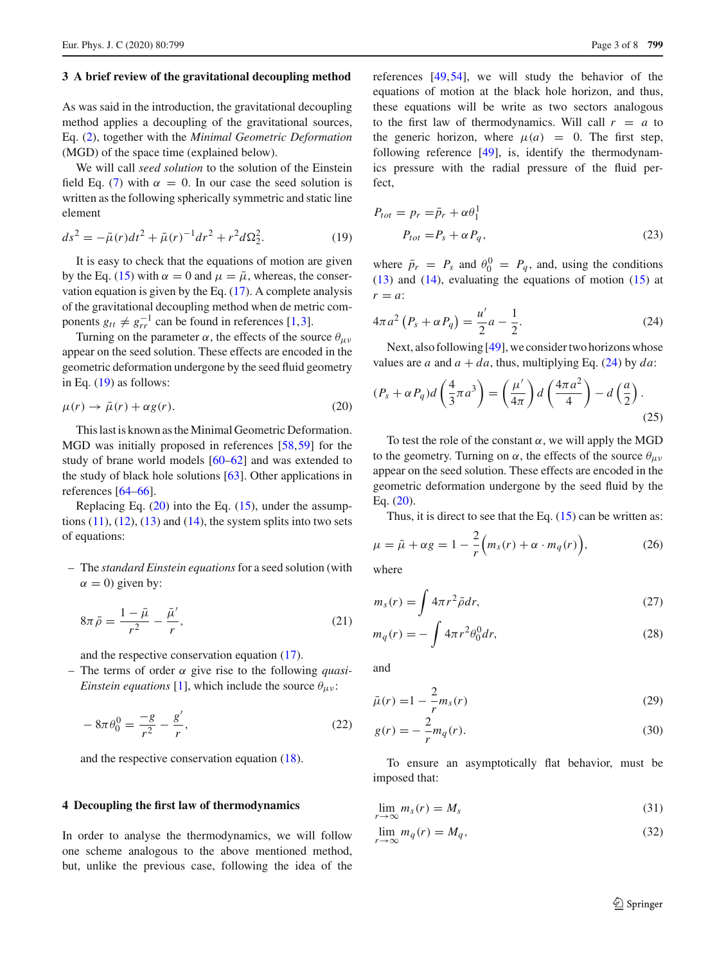# **3 A brief review of the gravitational decoupling method**

As was said in the introduction, the gravitational decoupling method applies a decoupling of the gravitational sources, Eq. [\(2\)](#page-1-0), together with the *Minimal Geometric Deformation* (MGD) of the space time (explained below).

We will call *seed solution* to the solution of the Einstein field Eq. [\(7\)](#page-1-5) with  $\alpha = 0$ . In our case the seed solution is written as the following spherically symmetric and static line element

<span id="page-2-0"></span>
$$
ds^{2} = -\bar{\mu}(r)dt^{2} + \bar{\mu}(r)^{-1}dr^{2} + r^{2}d\Omega_{2}^{2}.
$$
 (19)

It is easy to check that the equations of motion are given by the Eq. [\(15\)](#page-1-6) with  $\alpha = 0$  and  $\mu = \bar{\mu}$ , whereas, the conservation equation is given by the Eq. [\(17\)](#page-1-3). A complete analysis of the gravitational decoupling method when de metric components  $g_{tt} \neq g_{rr}^{-1}$  can be found in references [\[1,](#page-6-0)[3\]](#page-6-2).

Turning on the parameter  $\alpha$ , the effects of the source  $\theta_{\mu\nu}$ appear on the seed solution. These effects are encoded in the geometric deformation undergone by the seed fluid geometry in Eq.  $(19)$  as follows:

<span id="page-2-1"></span>
$$
\mu(r) \to \bar{\mu}(r) + \alpha g(r). \tag{20}
$$

This last is known as the Minimal Geometric Deformation. MGD was initially proposed in references [\[58](#page-7-13),[59\]](#page-7-14) for the study of brane world models [\[60](#page-7-15)[–62](#page-7-16)] and was extended to the study of black hole solutions [\[63\]](#page-7-17). Other applications in references [\[64](#page-7-18)[–66\]](#page-7-19).

Replacing Eq.  $(20)$  into the Eq.  $(15)$ , under the assumptions  $(11)$ ,  $(12)$ ,  $(13)$  and  $(14)$ , the system splits into two sets of equations:

– The *standard Einstein equations*for a seed solution (with  $\alpha = 0$ ) given by:

$$
8\pi\bar{\rho} = \frac{1-\bar{\mu}}{r^2} - \frac{\bar{\mu}'}{r},\qquad(21)
$$

and the respective conservation equation [\(17\)](#page-1-3).

– The terms of order α give rise to the following *quasi-Einstein equations* [\[1\]](#page-6-0), which include the source  $\theta_{\mu\nu}$ :

$$
-8\pi\theta_0^0 = \frac{-g}{r^2} - \frac{g'}{r},\qquad(22)
$$

and the respective conservation equation [\(18\)](#page-1-10).

#### **4 Decoupling the first law of thermodynamics**

In order to analyse the thermodynamics, we will follow one scheme analogous to the above mentioned method, but, unlike the previous case, following the idea of the references [\[49](#page-7-5),[54\]](#page-7-20), we will study the behavior of the equations of motion at the black hole horizon, and thus, these equations will be write as two sectors analogous to the first law of thermodynamics. Will call  $r = a$  to the generic horizon, where  $\mu(a) = 0$ . The first step, following reference [\[49\]](#page-7-5), is, identify the thermodynamics pressure with the radial pressure of the fluid perfect,

$$
P_{tot} = p_r = \bar{p}_r + \alpha \theta_1^1
$$
  

$$
P_{tot} = P_s + \alpha P_q,
$$
 (23)

where  $\bar{p}_r = P_s$  and  $\theta_0^0 = P_q$ , and, using the conditions [\(13\)](#page-1-8) and [\(14\)](#page-1-9), evaluating the equations of motion [\(15\)](#page-1-6) at  $r = a$ 

<span id="page-2-2"></span>
$$
4\pi a^2 (P_s + \alpha P_q) = \frac{u'}{2} a - \frac{1}{2}.
$$
 (24)

Next, also following [\[49](#page-7-5)], we consider two horizons whose values are *a* and  $a + da$ , thus, multiplying Eq. [\(24\)](#page-2-2) by *da*:

<span id="page-2-4"></span>
$$
(P_s + \alpha P_q)d\left(\frac{4}{3}\pi a^3\right) = \left(\frac{\mu'}{4\pi}\right)d\left(\frac{4\pi a^2}{4}\right) - d\left(\frac{a}{2}\right).
$$
\n(25)

To test the role of the constant  $\alpha$ , we will apply the MGD to the geometry. Turning on  $\alpha$ , the effects of the source  $\theta_{\mu\nu}$ appear on the seed solution. These effects are encoded in the geometric deformation undergone by the seed fluid by the Eq. [\(20\)](#page-2-1).

Thus, it is direct to see that the Eq.  $(15)$  can be written as:

<span id="page-2-3"></span>
$$
\mu = \bar{\mu} + \alpha g = 1 - \frac{2}{r} \Big( m_s(r) + \alpha \cdot m_q(r) \Big), \tag{26}
$$

where

$$
m_s(r) = \int 4\pi r^2 \bar{\rho} dr,\tag{27}
$$

$$
m_q(r) = -\int 4\pi r^2 \theta_0^0 dr,\tag{28}
$$

and

$$
\bar{\mu}(r) = 1 - \frac{2}{r} m_s(r) \tag{29}
$$

$$
g(r) = -\frac{2}{r}m_q(r).
$$
 (30)

To ensure an asymptotically flat behavior, must be imposed that:

<span id="page-2-6"></span><span id="page-2-5"></span>
$$
\lim_{r \to \infty} m_s(r) = M_s \tag{31}
$$

$$
\lim_{r \to \infty} m_q(r) = M_q,\tag{32}
$$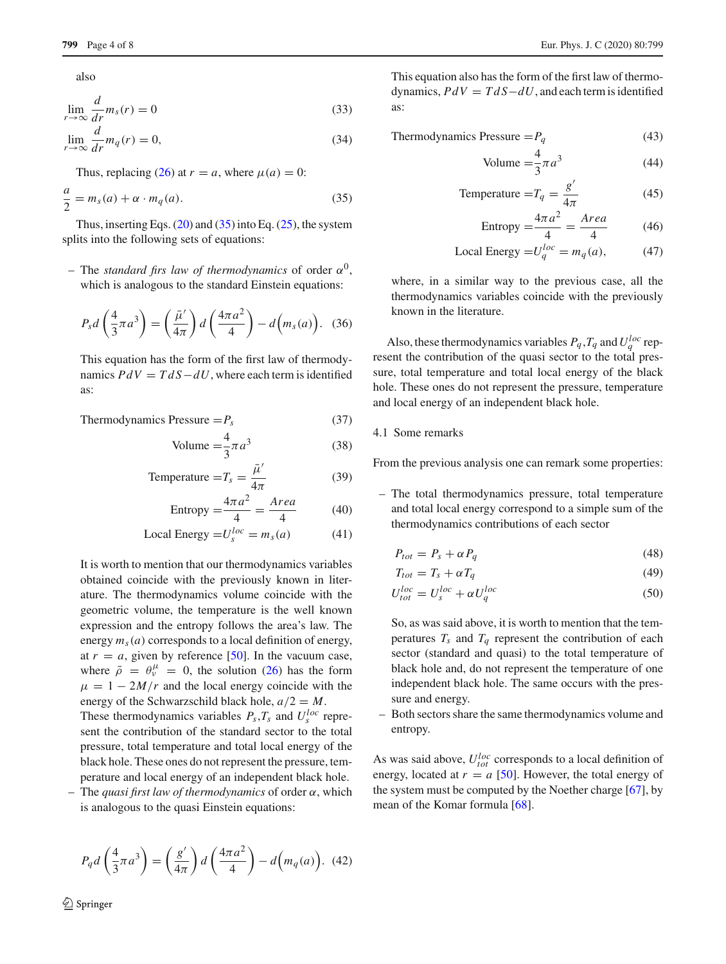also

$$
\lim_{r \to \infty} \frac{d}{dr} m_s(r) = 0 \tag{33}
$$

$$
\lim_{r \to \infty} \frac{d}{dr} m_q(r) = 0,\tag{34}
$$

Thus, replacing [\(26\)](#page-2-3) at  $r = a$ , where  $\mu(a) = 0$ :

<span id="page-3-0"></span>
$$
\frac{a}{2} = m_s(a) + \alpha \cdot m_q(a). \tag{35}
$$

Thus, inserting Eqs.  $(20)$  and  $(35)$  into Eq.  $(25)$ , the system splits into the following sets of equations:

– The *standard firs law of thermodynamics* of order  $\alpha^0$ , which is analogous to the standard Einstein equations:

$$
P_s d\left(\frac{4}{3}\pi a^3\right) = \left(\frac{\bar{\mu}'}{4\pi}\right) d\left(\frac{4\pi a^2}{4}\right) - d\left(m_s(a)\right). \tag{36}
$$

This equation has the form of the first law of thermodynamics  $PdV = TdS - dU$ , where each term is identified as:

Thermodynamics Pressure = 
$$
P_s
$$
 (37)

Volume = 
$$
\frac{4}{3}\pi a^3
$$
 (38)

Temperature = 
$$
T_s = \frac{\bar{\mu}'}{4\pi}
$$
 (39)

Entropy 
$$
=\frac{4\pi a^2}{4} = \frac{Area}{4}
$$
 (40)

$$
Local Energy = U_s^{loc} = m_s(a)
$$
 (41)

It is worth to mention that our thermodynamics variables obtained coincide with the previously known in literature. The thermodynamics volume coincide with the geometric volume, the temperature is the well known expression and the entropy follows the area's law. The energy  $m_s(a)$  corresponds to a local definition of energy, at  $r = a$ , given by reference [\[50](#page-7-6)]. In the vacuum case, where  $\bar{\rho} = \theta_{\nu}^{\mu} = 0$ , the solution [\(26\)](#page-2-3) has the form  $\mu = 1 - 2M/r$  and the local energy coincide with the energy of the Schwarzschild black hole,  $a/2 = M$ .

These thermodynamics variables  $P_s$ ,  $T_s$  and  $U_s^{loc}$  represent the contribution of the standard sector to the total pressure, total temperature and total local energy of the black hole. These ones do not represent the pressure, temperature and local energy of an independent black hole.

– The *quasi first law of thermodynamics* of order α, which is analogous to the quasi Einstein equations:

$$
P_q d\left(\frac{4}{3}\pi a^3\right) = \left(\frac{g'}{4\pi}\right) d\left(\frac{4\pi a^2}{4}\right) - d\left(m_q(a)\right). \tag{42}
$$

This equation also has the form of the first law of thermodynamics,  $PdV = TdS - dU$ , and each term is identified as:

$$
Thermodynamics \, \text{Pressure} = P_q \tag{43}
$$

Volume = 
$$
\frac{4}{3}\pi a^3
$$
 (44)

Temperature = 
$$
T_q = \frac{g'}{4\pi}
$$
 (45)

Entropy 
$$
=\frac{4\pi a^2}{4} = \frac{Area}{4}
$$
 (46)

$$
Local Energy = U_q^{loc} = m_q(a), \qquad (47)
$$

where, in a similar way to the previous case, all the thermodynamics variables coincide with the previously known in the literature.

Also, these thermodynamics variables  $P_q$ ,  $T_q$  and  $U_q^{loc}$  represent the contribution of the quasi sector to the total pressure, total temperature and total local energy of the black hole. These ones do not represent the pressure, temperature and local energy of an independent black hole.

# 4.1 Some remarks

From the previous analysis one can remark some properties:

– The total thermodynamics pressure, total temperature and total local energy correspond to a simple sum of the thermodynamics contributions of each sector

<span id="page-3-2"></span><span id="page-3-1"></span>
$$
P_{tot} = P_s + \alpha P_q \tag{48}
$$

<span id="page-3-3"></span>
$$
T_{tot} = T_s + \alpha T_q \tag{49}
$$

$$
U_{tot}^{loc} = U_s^{loc} + \alpha U_q^{loc}
$$
 (50)

So, as was said above, it is worth to mention that the temperatures  $T_s$  and  $T_q$  represent the contribution of each sector (standard and quasi) to the total temperature of black hole and, do not represent the temperature of one independent black hole. The same occurs with the pressure and energy.

– Both sectors share the same thermodynamics volume and entropy.

As was said above,  $U_{tot}^{loc}$  corresponds to a local definition of energy, located at  $r = a$  [\[50\]](#page-7-6). However, the total energy of the system must be computed by the Noether charge [\[67](#page-7-21)], by mean of the Komar formula [\[68\]](#page-7-22).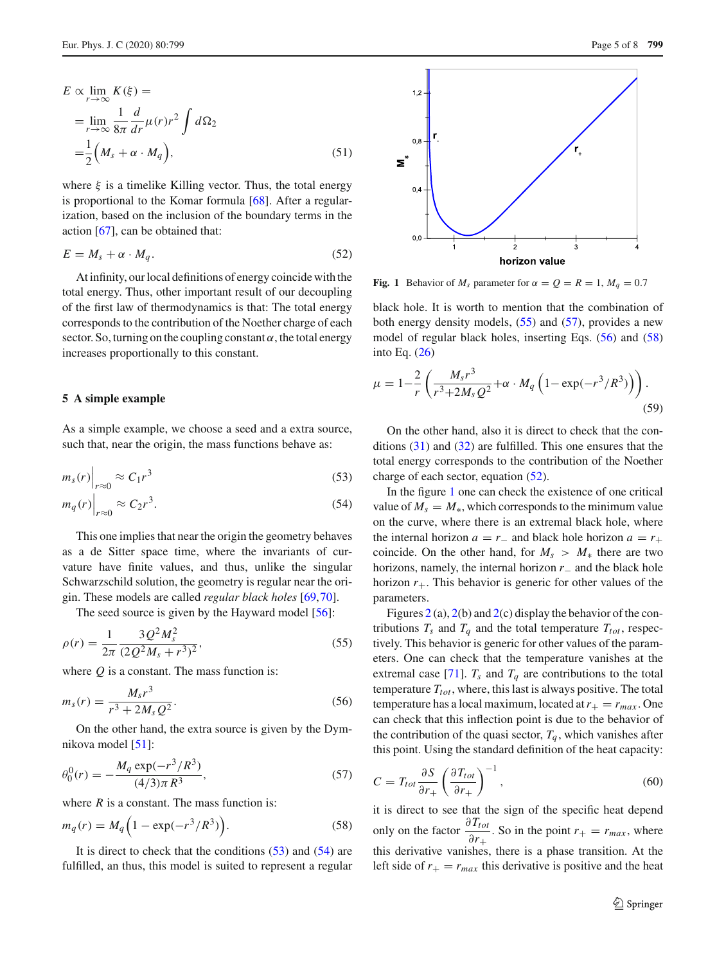$$
E \propto \lim_{r \to \infty} K(\xi) =
$$
  
= 
$$
\lim_{r \to \infty} \frac{1}{8\pi} \frac{d}{dr} \mu(r) r^2 \int d\Omega_2
$$
  
= 
$$
\frac{1}{2} (M_s + \alpha \cdot M_q),
$$
 (51)

where  $\xi$  is a timelike Killing vector. Thus, the total energy is proportional to the Komar formula [\[68](#page-7-22)]. After a regularization, based on the inclusion of the boundary terms in the action [\[67](#page-7-21)], can be obtained that:

<span id="page-4-6"></span>
$$
E = M_s + \alpha \cdot M_q. \tag{52}
$$

At infinity, our local definitions of energy coincide with the total energy. Thus, other important result of our decoupling of the first law of thermodynamics is that: The total energy corresponds to the contribution of the Noether charge of each sector. So, turning on the coupling constant  $\alpha$ , the total energy increases proportionally to this constant.

# **5 A simple example**

As a simple example, we choose a seed and a extra source, such that, near the origin, the mass functions behave as:

$$
m_s(r)\Big|_{r\approx 0} \approx C_1 r^3\tag{53}
$$

$$
m_q(r)\Big|_{r\approx 0} \approx C_2 r^3. \tag{54}
$$

This one implies that near the origin the geometry behaves as a de Sitter space time, where the invariants of curvature have finite values, and thus, unlike the singular Schwarzschild solution, the geometry is regular near the origin. These models are called *regular black holes* [\[69,](#page-7-23)[70\]](#page-7-24).

The seed source is given by the Hayward model [\[56](#page-7-11)]:

<span id="page-4-2"></span>
$$
\rho(r) = \frac{1}{2\pi} \frac{3Q^2 M_s^2}{(2Q^2 M_s + r^3)^2},\tag{55}
$$

where *Q* is a constant. The mass function is:

<span id="page-4-4"></span>
$$
m_s(r) = \frac{M_s r^3}{r^3 + 2M_s Q^2}.
$$
\n(56)

On the other hand, the extra source is given by the Dymnikova model [\[51\]](#page-7-7):

<span id="page-4-3"></span>
$$
\theta_0^0(r) = -\frac{M_q \exp(-r^3/R^3)}{(4/3)\pi R^3},\tag{57}
$$

where  $R$  is a constant. The mass function is:

<span id="page-4-5"></span>
$$
m_q(r) = M_q \left( 1 - \exp(-r^3/R^3) \right).
$$
 (58)

It is direct to check that the conditions  $(53)$  and  $(54)$  are fulfilled, an thus, this model is suited to represent a regular



<span id="page-4-7"></span>**Fig. 1** Behavior of  $M_s$  parameter for  $\alpha = Q = R = 1$ ,  $M_q = 0.7$ 

black hole. It is worth to mention that the combination of both energy density models, [\(55\)](#page-4-2) and [\(57\)](#page-4-3), provides a new model of regular black holes, inserting Eqs. [\(56\)](#page-4-4) and [\(58\)](#page-4-5) into Eq. [\(26\)](#page-2-3)

$$
\mu = 1 - \frac{2}{r} \left( \frac{M_s r^3}{r^3 + 2M_s Q^2} + \alpha \cdot M_q \left( 1 - \exp(-r^3 / R^3) \right) \right). \tag{59}
$$

<span id="page-4-0"></span>On the other hand, also it is direct to check that the conditions [\(31\)](#page-2-5) and [\(32\)](#page-2-6) are fulfilled. This one ensures that the total energy corresponds to the contribution of the Noether charge of each sector, equation [\(52\)](#page-4-6).

<span id="page-4-1"></span>In the figure [1](#page-4-7) one can check the existence of one critical value of  $M_s = M_*$ , which corresponds to the minimum value on the curve, where there is an extremal black hole, where the internal horizon  $a = r_-\$  and black hole horizon  $a = r_+$ coincide. On the other hand, for  $M_s > M_*$  there are two horizons, namely, the internal horizon *r*<sup>−</sup> and the black hole horizon  $r_{+}$ . This behavior is generic for other values of the parameters.

Figures [2](#page-5-0) (a), [2\(](#page-5-0)b) and 2(c) display the behavior of the contributions  $T_s$  and  $T_q$  and the total temperature  $T_{tot}$ , respectively. This behavior is generic for other values of the parameters. One can check that the temperature vanishes at the extremal case [\[71\]](#page-7-25).  $T_s$  and  $T_q$  are contributions to the total temperature  $T_{tot}$ , where, this last is always positive. The total temperature has a local maximum, located at  $r_{+} = r_{max}$ . One can check that this inflection point is due to the behavior of the contribution of the quasi sector,  $T_q$ , which vanishes after this point. Using the standard definition of the heat capacity:

$$
C = T_{tot} \frac{\partial S}{\partial r_+} \left( \frac{\partial T_{tot}}{\partial r_+} \right)^{-1},\tag{60}
$$

it is direct to see that the sign of the specific heat depend only on the factor  $\frac{\partial T_{tot}}{\partial T_{tot}}$  $\frac{\partial^2 f(t)}{\partial r_+}$ . So in the point  $r_+ = r_{max}$ , where this derivative vanishes, there is a phase transition. At the left side of  $r_{+} = r_{max}$  this derivative is positive and the heat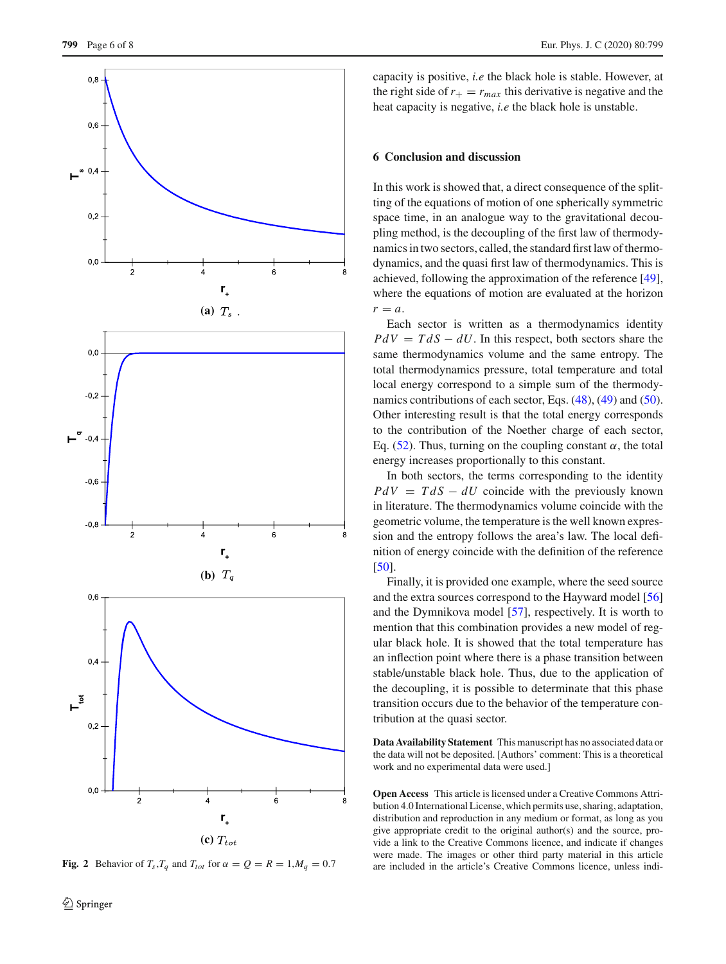

<span id="page-5-0"></span>**Fig. 2** Behavior of  $T_s$ ,  $T_q$  and  $T_{tot}$  for  $\alpha = Q = R = 1$ ,  $M_q = 0.7$ 

capacity is positive, *i.e* the black hole is stable. However, at the right side of  $r_{+} = r_{max}$  this derivative is negative and the heat capacity is negative, *i.e* the black hole is unstable.

# **6 Conclusion and discussion**

In this work is showed that, a direct consequence of the splitting of the equations of motion of one spherically symmetric space time, in an analogue way to the gravitational decoupling method, is the decoupling of the first law of thermodynamics in two sectors, called, the standard first law of thermodynamics, and the quasi first law of thermodynamics. This is achieved, following the approximation of the reference [\[49](#page-7-5)], where the equations of motion are evaluated at the horizon  $r = a$ .

Each sector is written as a thermodynamics identity  $PdV = TdS - dU$ . In this respect, both sectors share the same thermodynamics volume and the same entropy. The total thermodynamics pressure, total temperature and total local energy correspond to a simple sum of the thermodynamics contributions of each sector, Eqs. [\(48\)](#page-3-1), [\(49\)](#page-3-2) and [\(50\)](#page-3-3). Other interesting result is that the total energy corresponds to the contribution of the Noether charge of each sector, Eq. [\(52\)](#page-4-6). Thus, turning on the coupling constant  $\alpha$ , the total energy increases proportionally to this constant.

In both sectors, the terms corresponding to the identity  $PdV = TdS - dU$  coincide with the previously known in literature. The thermodynamics volume coincide with the geometric volume, the temperature is the well known expression and the entropy follows the area's law. The local definition of energy coincide with the definition of the reference [\[50](#page-7-6)].

Finally, it is provided one example, where the seed source and the extra sources correspond to the Hayward model [\[56\]](#page-7-11) and the Dymnikova model [\[57\]](#page-7-12), respectively. It is worth to mention that this combination provides a new model of regular black hole. It is showed that the total temperature has an inflection point where there is a phase transition between stable/unstable black hole. Thus, due to the application of the decoupling, it is possible to determinate that this phase transition occurs due to the behavior of the temperature contribution at the quasi sector.

**Data Availability Statement** This manuscript has no associated data or the data will not be deposited. [Authors' comment: This is a theoretical work and no experimental data were used.]

**Open Access** This article is licensed under a Creative Commons Attribution 4.0 International License, which permits use, sharing, adaptation, distribution and reproduction in any medium or format, as long as you give appropriate credit to the original author(s) and the source, provide a link to the Creative Commons licence, and indicate if changes were made. The images or other third party material in this article are included in the article's Creative Commons licence, unless indi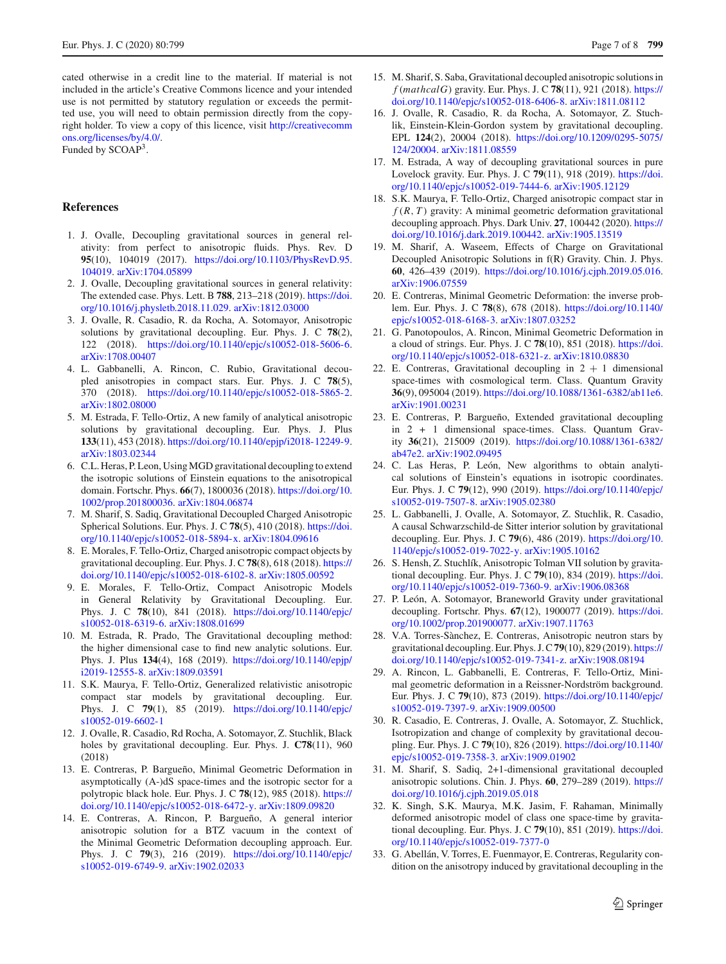cated otherwise in a credit line to the material. If material is not included in the article's Creative Commons licence and your intended use is not permitted by statutory regulation or exceeds the permitted use, you will need to obtain permission directly from the copyright holder. To view a copy of this licence, visit [http://creativecomm](http://creativecommons.org/licenses/by/4.0/) [ons.org/licenses/by/4.0/.](http://creativecommons.org/licenses/by/4.0/) Funded by SCOAP<sup>3</sup>.

# **References**

- <span id="page-6-0"></span>1. J. Ovalle, Decoupling gravitational sources in general relativity: from perfect to anisotropic fluids. Phys. Rev. D **95**(10), 104019 (2017). [https://doi.org/10.1103/PhysRevD.95.](https://doi.org/10.1103/PhysRevD.95.104019) [104019.](https://doi.org/10.1103/PhysRevD.95.104019) [arXiv:1704.05899](http://arxiv.org/abs/1704.05899)
- <span id="page-6-1"></span>2. J. Ovalle, Decoupling gravitational sources in general relativity: The extended case. Phys. Lett. B **788**, 213–218 (2019). [https://doi.](https://doi.org/10.1016/j.physletb.2018.11.029) [org/10.1016/j.physletb.2018.11.029.](https://doi.org/10.1016/j.physletb.2018.11.029) [arXiv:1812.03000](http://arxiv.org/abs/1812.03000)
- <span id="page-6-2"></span>3. J. Ovalle, R. Casadio, R. da Rocha, A. Sotomayor, Anisotropic solutions by gravitational decoupling. Eur. Phys. J. C **78**(2), 122 (2018). [https://doi.org/10.1140/epjc/s10052-018-5606-6.](https://doi.org/10.1140/epjc/s10052-018-5606-6) [arXiv:1708.00407](http://arxiv.org/abs/1708.00407)
- 4. L. Gabbanelli, A. Rincon, C. Rubio, Gravitational decoupled anisotropies in compact stars. Eur. Phys. J. C **78**(5), 370 (2018). [https://doi.org/10.1140/epjc/s10052-018-5865-2.](https://doi.org/10.1140/epjc/s10052-018-5865-2) [arXiv:1802.08000](http://arxiv.org/abs/1802.08000)
- 5. M. Estrada, F. Tello-Ortiz, A new family of analytical anisotropic solutions by gravitational decoupling. Eur. Phys. J. Plus **133**(11), 453 (2018). [https://doi.org/10.1140/epjp/i2018-12249-9.](https://doi.org/10.1140/epjp/i2018-12249-9) [arXiv:1803.02344](http://arxiv.org/abs/1803.02344)
- 6. C.L. Heras, P. Leon, Using MGD gravitational decoupling to extend the isotropic solutions of Einstein equations to the anisotropical domain. Fortschr. Phys. **66**(7), 1800036 (2018). [https://doi.org/10.](https://doi.org/10.1002/prop.201800036) [1002/prop.201800036.](https://doi.org/10.1002/prop.201800036) [arXiv:1804.06874](http://arxiv.org/abs/1804.06874)
- 7. M. Sharif, S. Sadiq, Gravitational Decoupled Charged Anisotropic Spherical Solutions. Eur. Phys. J. C **78**(5), 410 (2018). [https://doi.](https://doi.org/10.1140/epjc/s10052-018-5894-x) [org/10.1140/epjc/s10052-018-5894-x.](https://doi.org/10.1140/epjc/s10052-018-5894-x) [arXiv:1804.09616](http://arxiv.org/abs/1804.09616)
- 8. E. Morales, F. Tello-Ortiz, Charged anisotropic compact objects by gravitational decoupling. Eur. Phys. J. C **78**(8), 618 (2018). [https://](https://doi.org/10.1140/epjc/s10052-018-6102-8) [doi.org/10.1140/epjc/s10052-018-6102-8.](https://doi.org/10.1140/epjc/s10052-018-6102-8) [arXiv:1805.00592](http://arxiv.org/abs/1805.00592)
- 9. E. Morales, F. Tello-Ortiz, Compact Anisotropic Models in General Relativity by Gravitational Decoupling. Eur. Phys. J. C **78**(10), 841 (2018). [https://doi.org/10.1140/epjc/](https://doi.org/10.1140/epjc/s10052-018-6319-6) [s10052-018-6319-6.](https://doi.org/10.1140/epjc/s10052-018-6319-6) [arXiv:1808.01699](http://arxiv.org/abs/1808.01699)
- <span id="page-6-12"></span>10. M. Estrada, R. Prado, The Gravitational decoupling method: the higher dimensional case to find new analytic solutions. Eur. Phys. J. Plus **134**(4), 168 (2019). [https://doi.org/10.1140/epjp/](https://doi.org/10.1140/epjp/i2019-12555-8) [i2019-12555-8.](https://doi.org/10.1140/epjp/i2019-12555-8) [arXiv:1809.03591](http://arxiv.org/abs/1809.03591)
- <span id="page-6-3"></span>11. S.K. Maurya, F. Tello-Ortiz, Generalized relativistic anisotropic compact star models by gravitational decoupling. Eur. Phys. J. C **79**(1), 85 (2019). [https://doi.org/10.1140/epjc/](https://doi.org/10.1140/epjc/s10052-019-6602-1) [s10052-019-6602-1](https://doi.org/10.1140/epjc/s10052-019-6602-1)
- <span id="page-6-4"></span>12. J. Ovalle, R. Casadio, Rd Rocha, A. Sotomayor, Z. Stuchlik, Black holes by gravitational decoupling. Eur. Phys. J. **C78**(11), 960 (2018)
- 13. E. Contreras, P. Bargueño, Minimal Geometric Deformation in asymptotically (A-)dS space-times and the isotropic sector for a polytropic black hole. Eur. Phys. J. C **78**(12), 985 (2018). [https://](https://doi.org/10.1140/epjc/s10052-018-6472-y) [doi.org/10.1140/epjc/s10052-018-6472-y.](https://doi.org/10.1140/epjc/s10052-018-6472-y) [arXiv:1809.09820](http://arxiv.org/abs/1809.09820)
- <span id="page-6-5"></span>14. E. Contreras, A. Rincon, P. Bargueño, A general interior anisotropic solution for a BTZ vacuum in the context of the Minimal Geometric Deformation decoupling approach. Eur. Phys. J. C **79**(3), 216 (2019). [https://doi.org/10.1140/epjc/](https://doi.org/10.1140/epjc/s10052-019-6749-9) [s10052-019-6749-9.](https://doi.org/10.1140/epjc/s10052-019-6749-9) [arXiv:1902.02033](http://arxiv.org/abs/1902.02033)
- <span id="page-6-6"></span>15. M. Sharif, S. Saba, Gravitational decoupled anisotropic solutions in *f* (*mathcalG*) gravity. Eur. Phys. J. C **78**(11), 921 (2018). [https://](https://doi.org/10.1140/epjc/s10052-018-6406-8) [doi.org/10.1140/epjc/s10052-018-6406-8.](https://doi.org/10.1140/epjc/s10052-018-6406-8) [arXiv:1811.08112](http://arxiv.org/abs/1811.08112)
- <span id="page-6-7"></span>16. J. Ovalle, R. Casadio, R. da Rocha, A. Sotomayor, Z. Stuchlik, Einstein-Klein-Gordon system by gravitational decoupling. EPL **124**(2), 20004 (2018). [https://doi.org/10.1209/0295-5075/](https://doi.org/10.1209/0295-5075/124/20004) [124/20004.](https://doi.org/10.1209/0295-5075/124/20004) [arXiv:1811.08559](http://arxiv.org/abs/1811.08559)
- <span id="page-6-8"></span>17. M. Estrada, A way of decoupling gravitational sources in pure Lovelock gravity. Eur. Phys. J. C **79**(11), 918 (2019). [https://doi.](https://doi.org/10.1140/epjc/s10052-019-7444-6) [org/10.1140/epjc/s10052-019-7444-6.](https://doi.org/10.1140/epjc/s10052-019-7444-6) [arXiv:1905.12129](http://arxiv.org/abs/1905.12129)
- <span id="page-6-9"></span>18. S.K. Maurya, F. Tello-Ortiz, Charged anisotropic compact star in  $f(R, T)$  gravity: A minimal geometric deformation gravitational decoupling approach. Phys. Dark Univ. **27**, 100442 (2020). [https://](https://doi.org/10.1016/j.dark.2019.100442) [doi.org/10.1016/j.dark.2019.100442.](https://doi.org/10.1016/j.dark.2019.100442) [arXiv:1905.13519](http://arxiv.org/abs/1905.13519)
- <span id="page-6-10"></span>19. M. Sharif, A. Waseem, Effects of Charge on Gravitational Decoupled Anisotropic Solutions in f(R) Gravity. Chin. J. Phys. **60**, 426–439 (2019). [https://doi.org/10.1016/j.cjph.2019.05.016.](https://doi.org/10.1016/j.cjph.2019.05.016) [arXiv:1906.07559](http://arxiv.org/abs/1906.07559)
- <span id="page-6-11"></span>20. E. Contreras, Minimal Geometric Deformation: the inverse problem. Eur. Phys. J. C **78**(8), 678 (2018). [https://doi.org/10.1140/](https://doi.org/10.1140/epjc/s10052-018-6168-3) [epjc/s10052-018-6168-3.](https://doi.org/10.1140/epjc/s10052-018-6168-3) [arXiv:1807.03252](http://arxiv.org/abs/1807.03252)
- 21. G. Panotopoulos, A. Rincon, Minimal Geometric Deformation in a cloud of strings. Eur. Phys. J. C **78**(10), 851 (2018). [https://doi.](https://doi.org/10.1140/epjc/s10052-018-6321-z) [org/10.1140/epjc/s10052-018-6321-z.](https://doi.org/10.1140/epjc/s10052-018-6321-z) [arXiv:1810.08830](http://arxiv.org/abs/1810.08830)
- 22. E. Contreras, Gravitational decoupling in  $2 + 1$  dimensional space-times with cosmological term. Class. Quantum Gravity **36**(9), 095004 (2019). [https://doi.org/10.1088/1361-6382/ab11e6.](https://doi.org/10.1088/1361-6382/ab11e6) [arXiv:1901.00231](http://arxiv.org/abs/1901.00231)
- 23. E. Contreras, P. Bargueño, Extended gravitational decoupling in 2 + 1 dimensional space-times. Class. Quantum Gravity **36**(21), 215009 (2019). [https://doi.org/10.1088/1361-6382/](https://doi.org/10.1088/1361-6382/ab47e2) [ab47e2.](https://doi.org/10.1088/1361-6382/ab47e2) [arXiv:1902.09495](http://arxiv.org/abs/1902.09495)
- 24. C. Las Heras, P. León, New algorithms to obtain analytical solutions of Einstein's equations in isotropic coordinates. Eur. Phys. J. C **79**(12), 990 (2019). [https://doi.org/10.1140/epjc/](https://doi.org/10.1140/epjc/s10052-019-7507-8) [s10052-019-7507-8.](https://doi.org/10.1140/epjc/s10052-019-7507-8) [arXiv:1905.02380](http://arxiv.org/abs/1905.02380)
- 25. L. Gabbanelli, J. Ovalle, A. Sotomayor, Z. Stuchlik, R. Casadio, A causal Schwarzschild-de Sitter interior solution by gravitational decoupling. Eur. Phys. J. C **79**(6), 486 (2019). [https://doi.org/10.](https://doi.org/10.1140/epjc/s10052-019-7022-y) [1140/epjc/s10052-019-7022-y.](https://doi.org/10.1140/epjc/s10052-019-7022-y) [arXiv:1905.10162](http://arxiv.org/abs/1905.10162)
- 26. S. Hensh, Z. Stuchlík, Anisotropic Tolman VII solution by gravitational decoupling. Eur. Phys. J. C **79**(10), 834 (2019). [https://doi.](https://doi.org/10.1140/epjc/s10052-019-7360-9) [org/10.1140/epjc/s10052-019-7360-9.](https://doi.org/10.1140/epjc/s10052-019-7360-9) [arXiv:1906.08368](http://arxiv.org/abs/1906.08368)
- 27. P. León, A. Sotomayor, Braneworld Gravity under gravitational decoupling. Fortschr. Phys. **67**(12), 1900077 (2019). [https://doi.](https://doi.org/10.1002/prop.201900077) [org/10.1002/prop.201900077.](https://doi.org/10.1002/prop.201900077) [arXiv:1907.11763](http://arxiv.org/abs/1907.11763)
- 28. V.A. Torres-Sànchez, E. Contreras, Anisotropic neutron stars by gravitational decoupling. Eur. Phys. J. C**79**(10), 829 (2019). [https://](https://doi.org/10.1140/epjc/s10052-019-7341-z) [doi.org/10.1140/epjc/s10052-019-7341-z.](https://doi.org/10.1140/epjc/s10052-019-7341-z) [arXiv:1908.08194](http://arxiv.org/abs/1908.08194)
- 29. A. Rincon, L. Gabbanelli, E. Contreras, F. Tello-Ortiz, Minimal geometric deformation in a Reissner-Nordström background. Eur. Phys. J. C **79**(10), 873 (2019). [https://doi.org/10.1140/epjc/](https://doi.org/10.1140/epjc/s10052-019-7397-9) [s10052-019-7397-9.](https://doi.org/10.1140/epjc/s10052-019-7397-9) [arXiv:1909.00500](http://arxiv.org/abs/1909.00500)
- 30. R. Casadio, E. Contreras, J. Ovalle, A. Sotomayor, Z. Stuchlick, Isotropization and change of complexity by gravitational decoupling. Eur. Phys. J. C **79**(10), 826 (2019). [https://doi.org/10.1140/](https://doi.org/10.1140/epjc/s10052-019-7358-3) [epjc/s10052-019-7358-3.](https://doi.org/10.1140/epjc/s10052-019-7358-3) [arXiv:1909.01902](http://arxiv.org/abs/1909.01902)
- 31. M. Sharif, S. Sadiq, 2+1-dimensional gravitational decoupled anisotropic solutions. Chin. J. Phys. **60**, 279–289 (2019). [https://](https://doi.org/10.1016/j.cjph.2019.05.018) [doi.org/10.1016/j.cjph.2019.05.018](https://doi.org/10.1016/j.cjph.2019.05.018)
- 32. K. Singh, S.K. Maurya, M.K. Jasim, F. Rahaman, Minimally deformed anisotropic model of class one space-time by gravitational decoupling. Eur. Phys. J. C **79**(10), 851 (2019). [https://doi.](https://doi.org/10.1140/epjc/s10052-019-7377-0) [org/10.1140/epjc/s10052-019-7377-0](https://doi.org/10.1140/epjc/s10052-019-7377-0)
- 33. G. Abellán, V. Torres, E. Fuenmayor, E. Contreras, Regularity condition on the anisotropy induced by gravitational decoupling in the